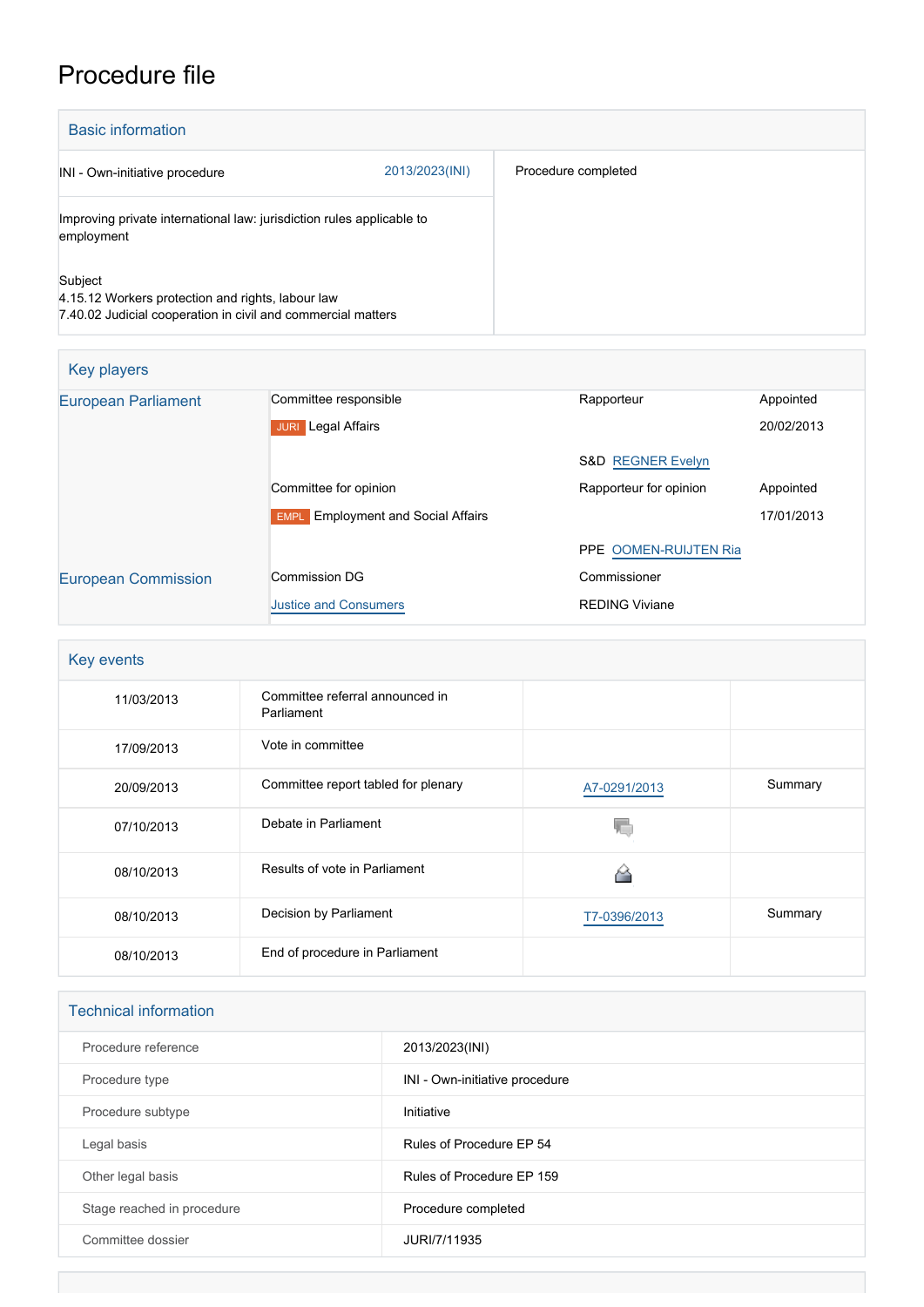## Procedure file

| <b>Basic information</b>                                                                                                     |                |                     |
|------------------------------------------------------------------------------------------------------------------------------|----------------|---------------------|
| INI - Own-initiative procedure                                                                                               | 2013/2023(INI) | Procedure completed |
| Improving private international law: jurisdiction rules applicable to<br>employment                                          |                |                     |
| Subject<br>4.15.12 Workers protection and rights, labour law<br>7.40.02 Judicial cooperation in civil and commercial matters |                |                     |

| Key players                |                                                     |                              |            |
|----------------------------|-----------------------------------------------------|------------------------------|------------|
| <b>European Parliament</b> | Committee responsible                               | Rapporteur                   | Appointed  |
|                            | <b>Legal Affairs</b><br><b>JURI</b>                 |                              | 20/02/2013 |
|                            |                                                     | <b>S&amp;D REGNER Evelyn</b> |            |
|                            | Committee for opinion                               | Rapporteur for opinion       | Appointed  |
|                            | <b>Employment and Social Affairs</b><br><b>EMPL</b> |                              | 17/01/2013 |
|                            |                                                     | PPE OOMEN-RUIJTEN Ria        |            |
| <b>European Commission</b> | Commission DG<br>Commissioner                       |                              |            |
|                            | <b>Justice and Consumers</b>                        | <b>REDING Viviane</b>        |            |

| Key events |                                               |              |         |
|------------|-----------------------------------------------|--------------|---------|
| 11/03/2013 | Committee referral announced in<br>Parliament |              |         |
| 17/09/2013 | Vote in committee                             |              |         |
| 20/09/2013 | Committee report tabled for plenary           | A7-0291/2013 | Summary |
| 07/10/2013 | Debate in Parliament                          |              |         |
| 08/10/2013 | Results of vote in Parliament                 |              |         |
| 08/10/2013 | Decision by Parliament                        | T7-0396/2013 | Summary |
| 08/10/2013 | End of procedure in Parliament                |              |         |

| <b>Technical information</b> |                                |  |
|------------------------------|--------------------------------|--|
| Procedure reference          | 2013/2023(INI)                 |  |
| Procedure type               | INI - Own-initiative procedure |  |
| Procedure subtype            | Initiative                     |  |
| Legal basis                  | Rules of Procedure EP 54       |  |
| Other legal basis            | Rules of Procedure EP 159      |  |
| Stage reached in procedure   | Procedure completed            |  |
| Committee dossier            | JURI/7/11935                   |  |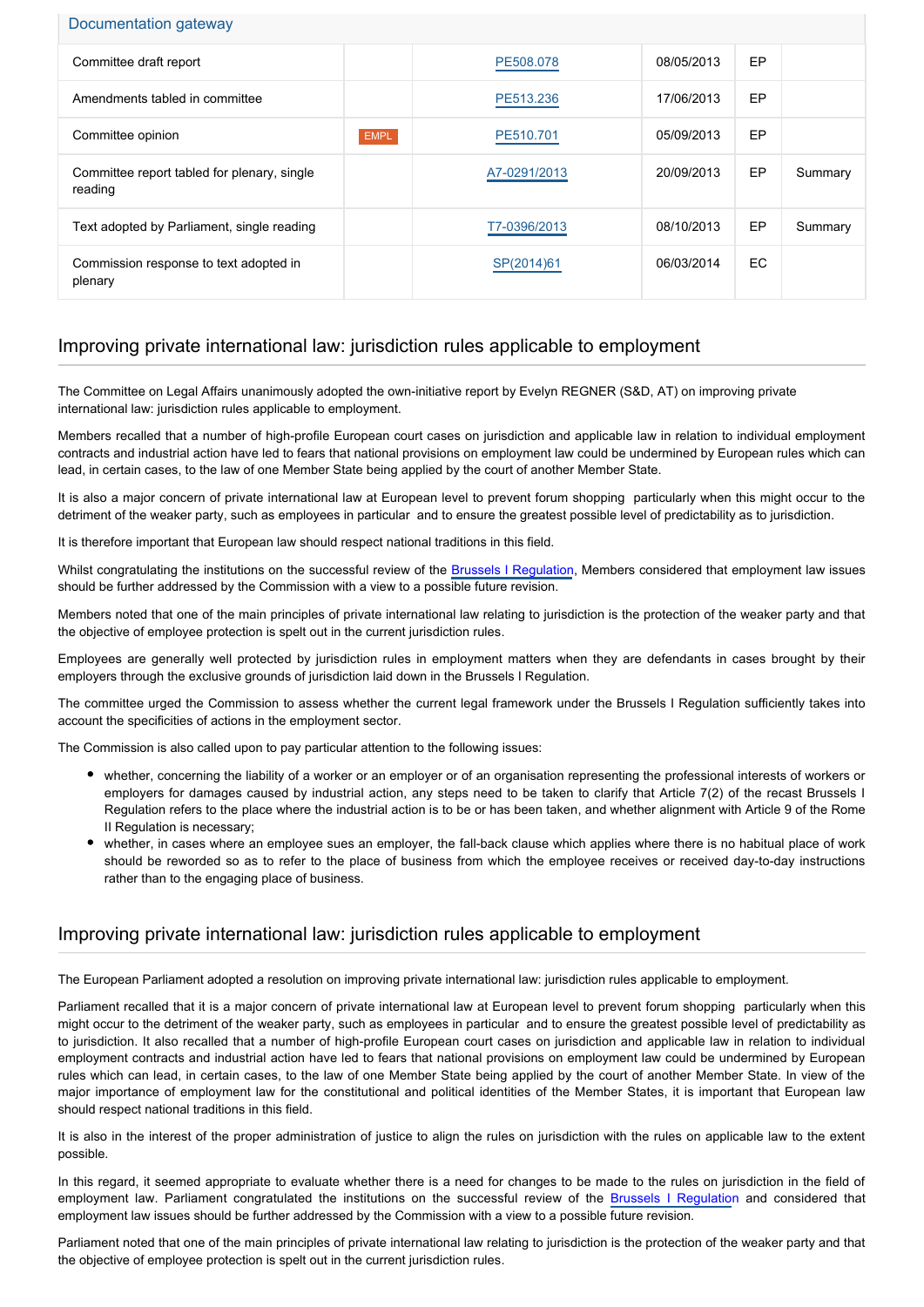## Documentation gateway

| Committee draft report                                 |             | PE508.078    | 08/05/2013 | EP        |         |
|--------------------------------------------------------|-------------|--------------|------------|-----------|---------|
| Amendments tabled in committee                         |             | PE513.236    | 17/06/2013 | EP        |         |
| Committee opinion                                      | <b>EMPL</b> | PE510.701    | 05/09/2013 | EP        |         |
| Committee report tabled for plenary, single<br>reading |             | A7-0291/2013 | 20/09/2013 | EP        | Summary |
| Text adopted by Parliament, single reading             |             | T7-0396/2013 | 08/10/2013 | EP        | Summary |
| Commission response to text adopted in<br>plenary      |             | SP(2014)61   | 06/03/2014 | <b>EC</b> |         |

## Improving private international law: jurisdiction rules applicable to employment

The Committee on Legal Affairs unanimously adopted the own-initiative report by Evelyn REGNER (S&D, AT) on improving private international law: jurisdiction rules applicable to employment.

Members recalled that a number of high-profile European court cases on jurisdiction and applicable law in relation to individual employment contracts and industrial action have led to fears that national provisions on employment law could be undermined by European rules which can lead, in certain cases, to the law of one Member State being applied by the court of another Member State.

It is also a major concern of private international law at European level to prevent forum shopping particularly when this might occur to the detriment of the weaker party, such as employees in particular and to ensure the greatest possible level of predictability as to jurisdiction.

It is therefore important that European law should respect national traditions in this field.

Whilst congratulating the institutions on the successful review of the [Brussels I Regulation](http://www.europarl.europa.eu/oeil/popups/ficheprocedure.do?lang=EN&reference=2010/0383(COD)), Members considered that employment law issues should be further addressed by the Commission with a view to a possible future revision.

Members noted that one of the main principles of private international law relating to jurisdiction is the protection of the weaker party and that the objective of employee protection is spelt out in the current jurisdiction rules.

Employees are generally well protected by jurisdiction rules in employment matters when they are defendants in cases brought by their employers through the exclusive grounds of jurisdiction laid down in the Brussels I Regulation.

The committee urged the Commission to assess whether the current legal framework under the Brussels I Regulation sufficiently takes into account the specificities of actions in the employment sector.

The Commission is also called upon to pay particular attention to the following issues:

- whether, concerning the liability of a worker or an employer or of an organisation representing the professional interests of workers or employers for damages caused by industrial action, any steps need to be taken to clarify that Article 7(2) of the recast Brussels I Regulation refers to the place where the industrial action is to be or has been taken, and whether alignment with Article 9 of the Rome II Regulation is necessary;
- whether, in cases where an employee sues an employer, the fall-back clause which applies where there is no habitual place of work should be reworded so as to refer to the place of business from which the employee receives or received day-to-day instructions rather than to the engaging place of business.

## Improving private international law: jurisdiction rules applicable to employment

The European Parliament adopted a resolution on improving private international law: jurisdiction rules applicable to employment.

Parliament recalled that it is a major concern of private international law at European level to prevent forum shopping particularly when this might occur to the detriment of the weaker party, such as employees in particular and to ensure the greatest possible level of predictability as to jurisdiction. It also recalled that a number of high-profile European court cases on jurisdiction and applicable law in relation to individual employment contracts and industrial action have led to fears that national provisions on employment law could be undermined by European rules which can lead, in certain cases, to the law of one Member State being applied by the court of another Member State. In view of the major importance of employment law for the constitutional and political identities of the Member States, it is important that European law should respect national traditions in this field.

It is also in the interest of the proper administration of justice to align the rules on jurisdiction with the rules on applicable law to the extent possible.

In this regard, it seemed appropriate to evaluate whether there is a need for changes to be made to the rules on jurisdiction in the field of employment law. Parliament congratulated the institutions on the successful review of the [Brussels I Regulatio](http://www.europarl.europa.eu/oeil/popups/ficheprocedure.do?lang=EN&reference=2010/0383(COD))n and considered that employment law issues should be further addressed by the Commission with a view to a possible future revision.

Parliament noted that one of the main principles of private international law relating to jurisdiction is the protection of the weaker party and that the objective of employee protection is spelt out in the current jurisdiction rules.